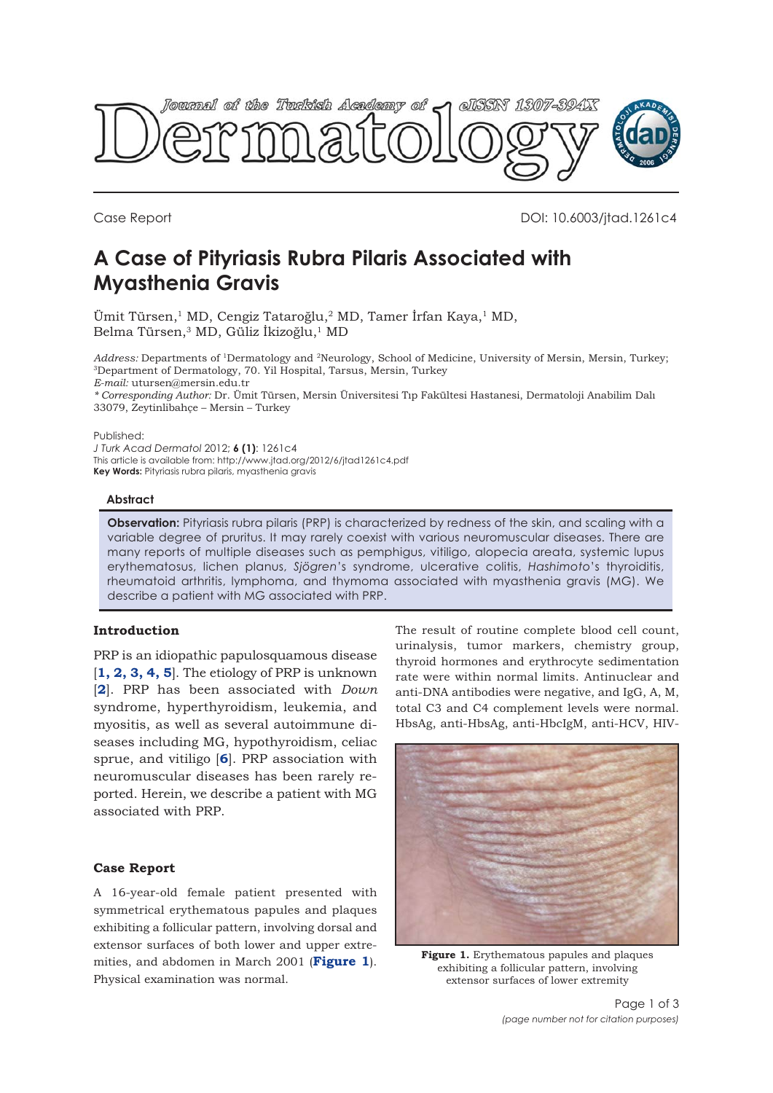<span id="page-0-0"></span>

Case Report DOI: 10.6003/jtad.1261c4

# **A Case of Pityriasis Rubra Pilaris Associated with Myasthenia Gravis**

Ümit Türsen,<sup>1</sup> MD, Cengiz Tataroğlu,<sup>2</sup> MD, Tamer İrfan Kaya,<sup>1</sup> MD, Belma Türsen,<sup>3</sup> MD, Güliz İkizoğlu,<sup>1</sup> MD

*Address:* Departments of 1Dermatology and 2Neurology, School of Medicine, University of Mersin, Mersin, Turkey; 3Department of Dermatology, 70. Yil Hospital, Tarsus, Mersin, Turkey

*E-mail:* utursen@mersin.edu.tr

*\* Corresponding Author:* Dr. Ümit Türsen, Mersin Üniversitesi Tıp Fakültesi Hastanesi, Dermatoloji Anabilim Dalı 33079, Zeytinlibahçe – Mersin – Turkey

Published:

*J Turk Acad Dermatol* 2012; **6 (1)**: 1261c4 This article is available from: http://www.jtad.org/2012/6/jtad1261c4.pdf **Key Words:** Pityriasis rubra pilaris, myasthenia gravis

#### **Abstract**

**Observation:** Pityriasis rubra pilaris (PRP) is characterized by redness of the skin, and scaling with a variable degree of pruritus. It may rarely coexist with various neuromuscular diseases. There are many reports of multiple diseases such as pemphigus, vitiligo, alopecia areata, systemic lupus erythematosus, lichen planus, *Sjögren*'s syndrome, ulcerative colitis, *Hashimoto*'s thyroiditis, rheumatoid arthritis, lymphoma, and thymoma associated with myasthenia gravis (MG). We describe a patient with MG associated with PRP.

## **Introduction**

PRP is an idiopathic papulosquamous disease [**[1, 2, 3, 4, 5](#page-2-0)**]. The etiology of PRP is unknown [**[2](#page-2-0)**]. PRP has been associated with *Down* syndrome, hyperthyroidism, leukemia, and myositis, as well as several autoimmune diseases including MG, hypothyroidism, celiac sprue, and vitiligo [**[6](#page-2-0)**]. PRP association with neuromuscular diseases has been rarely reported. Herein, we describe a patient with MG associated with PRP.

## **Case Report**

A 16-year-old female patient presented with symmetrical erythematous papules and plaques exhibiting a follicular pattern, involving dorsal and extensor surfaces of both lower and upper extremities, and abdomen in March 2001 (**Figure 1**). Physical examination was normal.

The result of routine complete blood cell count, urinalysis, tumor markers, chemistry group, thyroid hormones and erythrocyte sedimentation rate were within normal limits. Antinuclear and anti-DNA antibodies were negative, and IgG, A, M, total C3 and C4 complement levels were normal. HbsAg, anti-HbsAg, anti-HbcIgM, anti-HCV, HIV-



**Figure 1.** Erythematous papules and plaques exhibiting a follicular pattern, involving extensor surfaces of lower extremity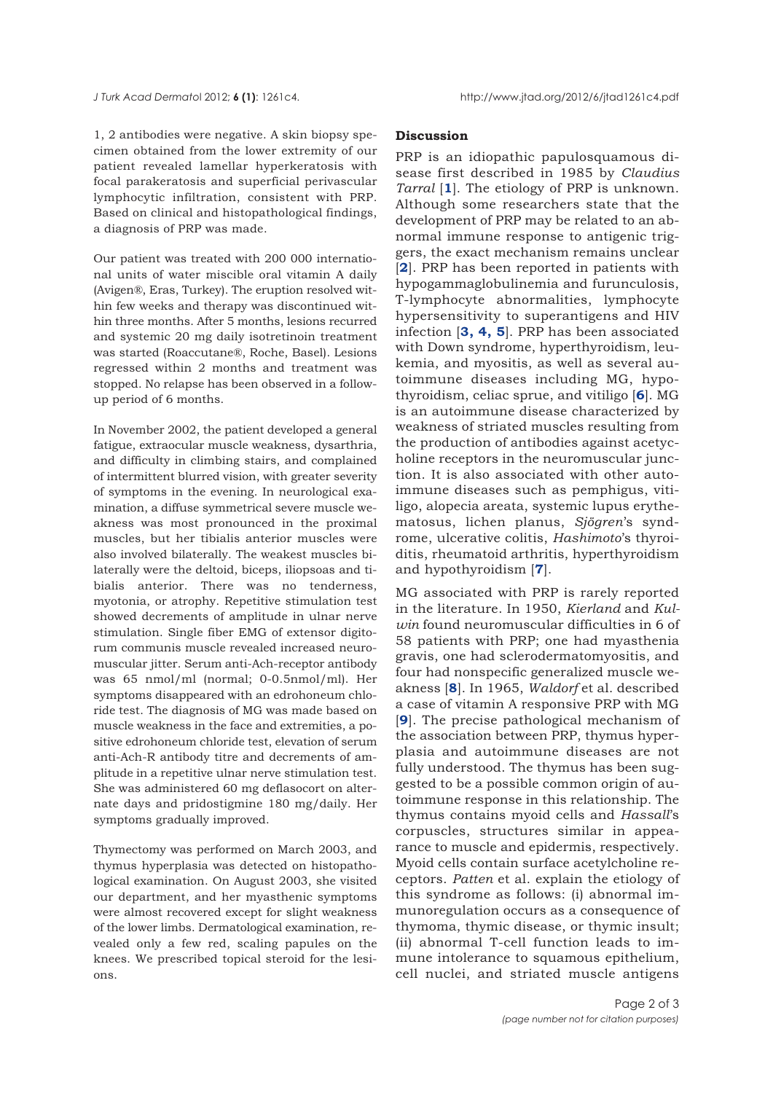<span id="page-1-0"></span>1, 2 antibodies were negative. A skin biopsy specimen obtained from the lower extremity of our patient revealed lamellar hyperkeratosis with focal parakeratosis and superficial perivascular lymphocytic infiltration, consistent with PRP. Based on clinical and histopathological findings, a diagnosis of PRP was made.

Our patient was treated with 200 000 international units of water miscible oral vitamin A daily (Avigen®, Eras, Turkey). The eruption resolved within few weeks and therapy was discontinued within three months. After 5 months, lesions recurred and systemic 20 mg daily isotretinoin treatment was started (Roaccutane®, Roche, Basel). Lesions regressed within 2 months and treatment was stopped. No relapse has been observed in a followup period of 6 months.

In November 2002, the patient developed a general fatigue, extraocular muscle weakness, dysarthria, and difficulty in climbing stairs, and complained of intermittent blurred vision, with greater severity of symptoms in the evening. In neurological examination, a diffuse symmetrical severe muscle weakness was most pronounced in the proximal muscles, but her tibialis anterior muscles were also involved bilaterally. The weakest muscles bilaterally were the deltoid, biceps, iliopsoas and tibialis anterior. There was no tenderness, myotonia, or atrophy. Repetitive stimulation test showed decrements of amplitude in ulnar nerve stimulation. Single fiber EMG of extensor digitorum communis muscle revealed increased neuromuscular jitter. Serum anti-Ach-receptor antibody was 65 nmol/ml (normal; 0-0.5nmol/ml). Her symptoms disappeared with an edrohoneum chloride test. The diagnosis of MG was made based on muscle weakness in the face and extremities, a positive edrohoneum chloride test, elevation of serum anti-Ach-R antibody titre and decrements of amplitude in a repetitive ulnar nerve stimulation test. She was administered 60 mg deflasocort on alternate days and pridostigmine 180 mg/daily. Her symptoms gradually improved.

Thymectomy was performed on March 2003, and thymus hyperplasia was detected on histopathological examination. On August 2003, she visited our department, and her myasthenic symptoms were almost recovered except for slight weakness of the lower limbs. Dermatological examination, revealed only a few red, scaling papules on the knees. We prescribed topical steroid for the lesions.

## **Discussion**

PRP is an idiopathic papulosquamous disease first described in 1985 by *Claudius Tarral* [**[1](#page-2-0)**]. The etiology of PRP is unknown. Although some researchers state that the development of PRP may be related to an abnormal immune response to antigenic triggers, the exact mechanism remains unclear [**[2](#page-2-0)**]. PRP has been reported in patients with hypogammaglobulinemia and furunculosis, T-lymphocyte abnormalities, lymphocyte hypersensitivity to superantigens and HIV infection [**[3, 4, 5](#page-2-0)**]. PRP has been associated with Down syndrome, hyperthyroidism, leukemia, and myositis, as well as several autoimmune diseases including MG, hypothyroidism, celiac sprue, and vitiligo [**[6](#page-2-0)**]. MG is an autoimmune disease characterized by weakness of striated muscles resulting from the production of antibodies against acetycholine receptors in the neuromuscular junction. It is also associated with other autoimmune diseases such as pemphigus, vitiligo, alopecia areata, systemic lupus erythematosus, lichen planus, *Sjögren*'s syndrome, ulcerative colitis, *Hashimoto*'s thyroiditis, rheumatoid arthritis, hyperthyroidism and hypothyroidism [**[7](#page-2-0)**].

MG associated with PRP is rarely reported in the literature. In 1950, *Kierland* and *Kulwin* found neuromuscular difficulties in 6 of 58 patients with PRP; one had myasthenia gravis, one had sclerodermatomyositis, and four had nonspecific generalized muscle weakness [**[8](#page-2-0)**]. In 1965, *Waldorf* et al. described a case of vitamin A responsive PRP with MG [**[9](#page-2-0)**]. The precise pathological mechanism of the association between PRP, thymus hyperplasia and autoimmune diseases are not fully understood. The thymus has been suggested to be a possible common origin of autoimmune response in this relationship. The thymus contains myoid cells and *Hassall*'s corpuscles, structures similar in appearance to muscle and epidermis, respectively. Myoid cells contain surface acetylcholine receptors. *Patten* et al. explain the etiology of this syndrome as follows: (i) abnormal immunoregulation occurs as a consequence of thymoma, thymic disease, or thymic insult; (ii) abnormal T-cell function leads to immune intolerance to squamous epithelium, cell nuclei, and striated muscle antigens